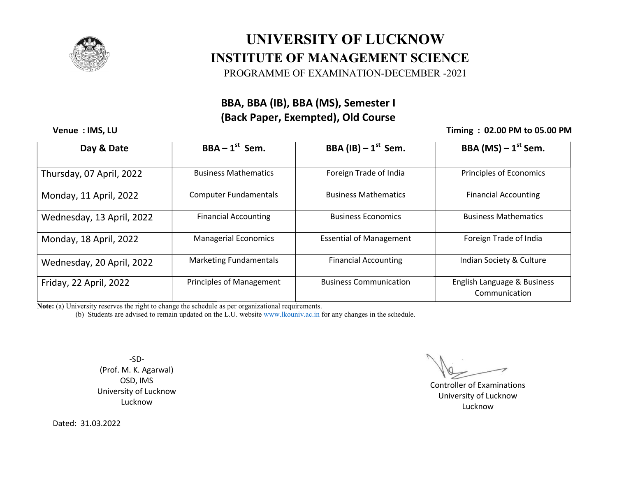

# UNIVERSITY OF LUCKNOW<br>INSTITUTE OF MANAGEMENT SCIENCE UNIVERSITY OF LUCKNOW

PROGRAMME OF EXAMINATION-DECEMBER -2021

### BBA, BBA (IB), BBA (MS), Semester I (Back Paper, Exempted), Old Course

Venue : IMS, LU

#### Timing : 02.00 PM to 05.00 PM

| Day & Date                | $BBA - 1st$ Sem.                | BBA (IB) $-1^{st}$ Sem.        | BBA (MS) $-1$ <sup>st</sup> Sem.             |
|---------------------------|---------------------------------|--------------------------------|----------------------------------------------|
| Thursday, 07 April, 2022  | <b>Business Mathematics</b>     | Foreign Trade of India         | Principles of Economics                      |
| Monday, 11 April, 2022    | <b>Computer Fundamentals</b>    | <b>Business Mathematics</b>    | <b>Financial Accounting</b>                  |
| Wednesday, 13 April, 2022 | <b>Financial Accounting</b>     | <b>Business Economics</b>      | <b>Business Mathematics</b>                  |
| Monday, 18 April, 2022    | <b>Managerial Economics</b>     | <b>Essential of Management</b> | Foreign Trade of India                       |
| Wednesday, 20 April, 2022 | <b>Marketing Fundamentals</b>   | <b>Financial Accounting</b>    | Indian Society & Culture                     |
| Friday, 22 April, 2022    | <b>Principles of Management</b> | <b>Business Communication</b>  | English Language & Business<br>Communication |

Note: (a) University reserves the right to change the schedule as per organizational requirements.

te: (a) University reserves the right to change the schedule as per organizational requirements.<br>(b) Students are advised to remain updated on the L.U. website www.lkouniv.ac.in for any changes in the schedule.

-SD- (Prof. M. K. Agarwal) OSD, IMS University of Lucknow Lucknow

 Controller of Examinations University of Lucknow Lucknow

Dated: 31.03.2022